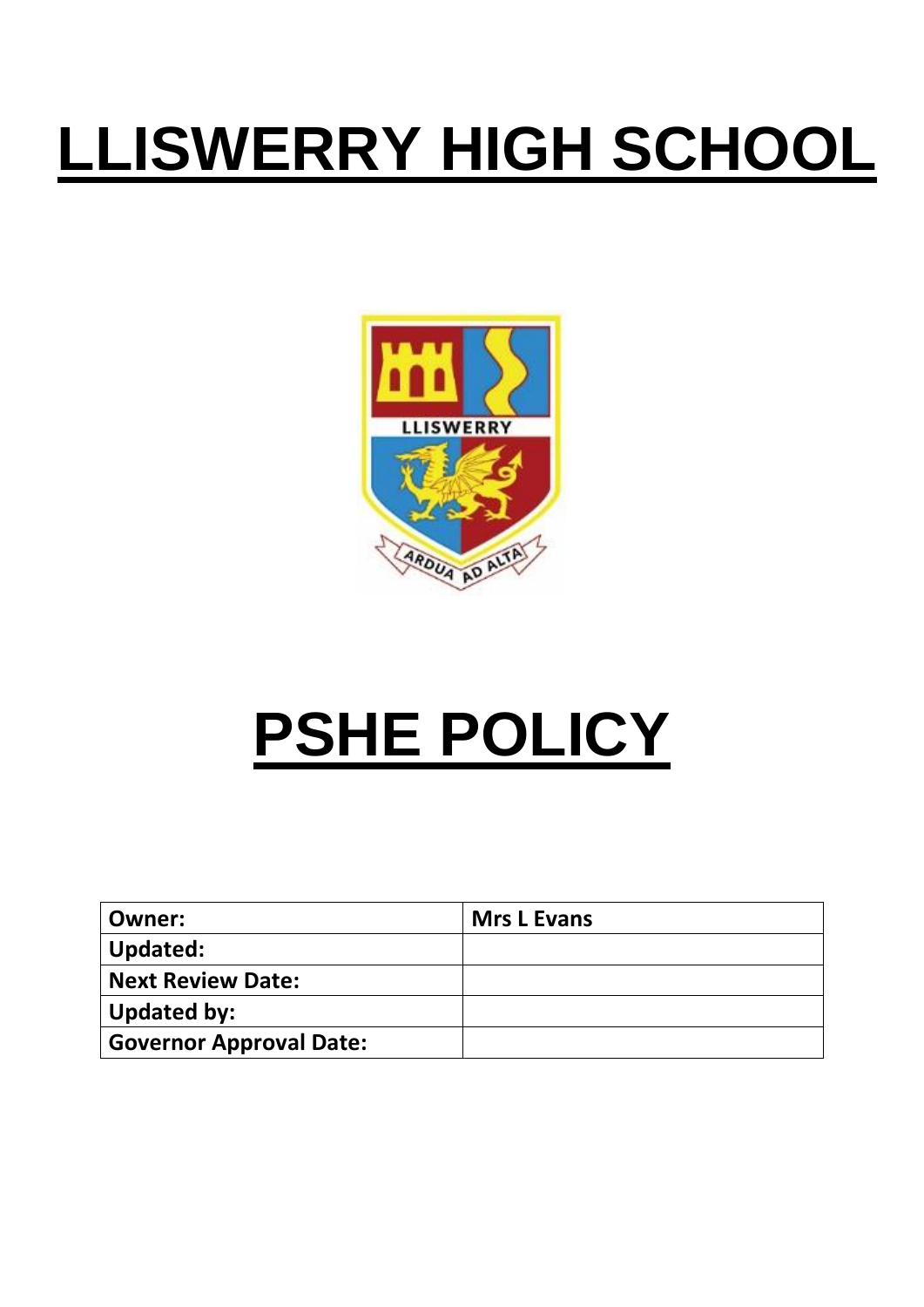# **LLISWERRY HIGH SCHOOL**



## **PSHE POLICY**

| Owner:                         | <b>Mrs L Evans</b> |
|--------------------------------|--------------------|
| Updated:                       |                    |
| <b>Next Review Date:</b>       |                    |
| <b>Updated by:</b>             |                    |
| <b>Governor Approval Date:</b> |                    |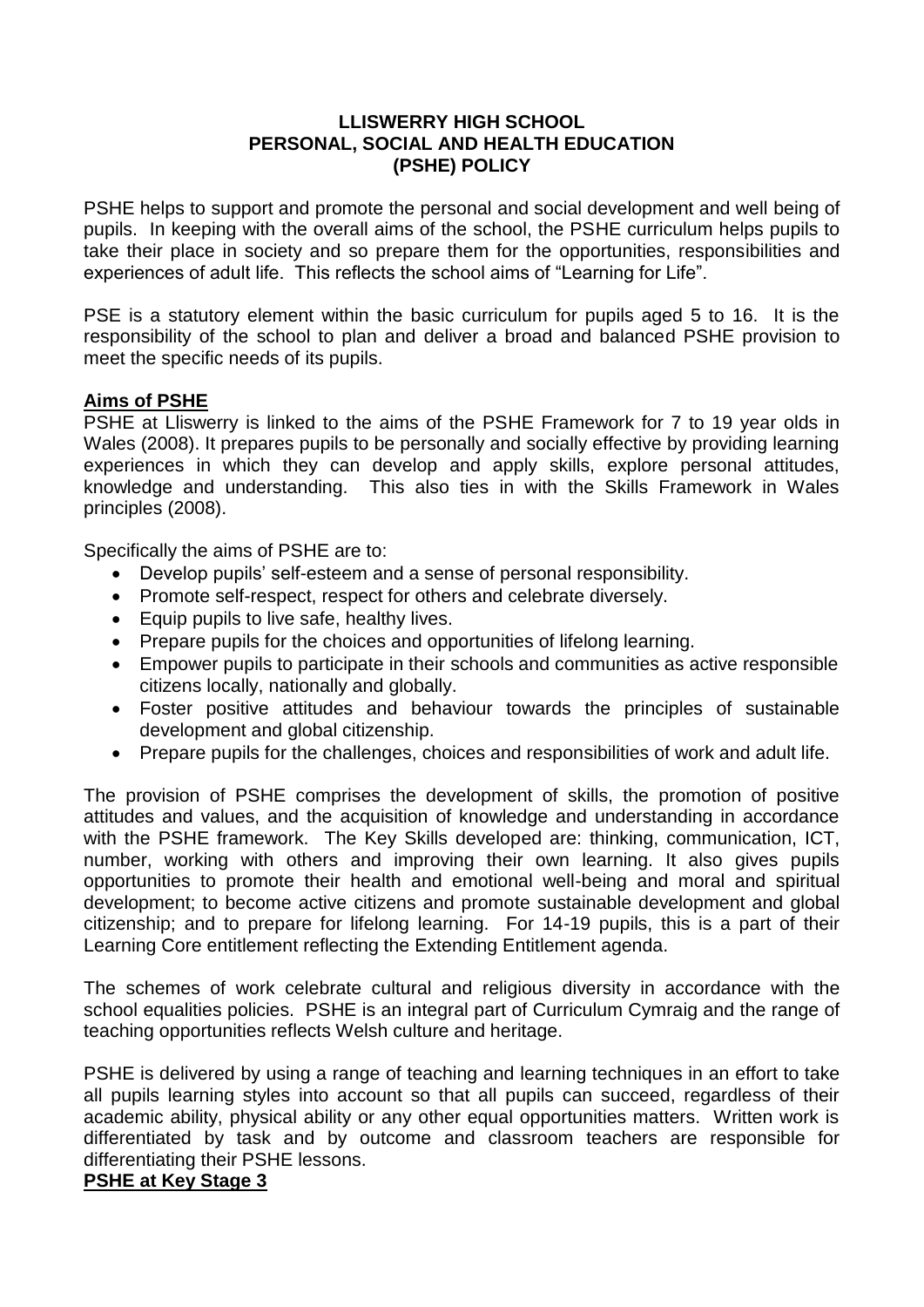#### **LLISWERRY HIGH SCHOOL PERSONAL, SOCIAL AND HEALTH EDUCATION (PSHE) POLICY**

PSHE helps to support and promote the personal and social development and well being of pupils. In keeping with the overall aims of the school, the PSHE curriculum helps pupils to take their place in society and so prepare them for the opportunities, responsibilities and experiences of adult life. This reflects the school aims of "Learning for Life".

PSE is a statutory element within the basic curriculum for pupils aged 5 to 16. It is the responsibility of the school to plan and deliver a broad and balanced PSHE provision to meet the specific needs of its pupils.

## **Aims of PSHE**

PSHE at Lliswerry is linked to the aims of the PSHE Framework for 7 to 19 year olds in Wales (2008). It prepares pupils to be personally and socially effective by providing learning experiences in which they can develop and apply skills, explore personal attitudes, knowledge and understanding. This also ties in with the Skills Framework in Wales principles (2008).

Specifically the aims of PSHE are to:

- Develop pupils' self-esteem and a sense of personal responsibility.
- Promote self-respect, respect for others and celebrate diversely.
- Equip pupils to live safe, healthy lives.
- Prepare pupils for the choices and opportunities of lifelong learning.
- Empower pupils to participate in their schools and communities as active responsible citizens locally, nationally and globally.
- Foster positive attitudes and behaviour towards the principles of sustainable development and global citizenship.
- Prepare pupils for the challenges, choices and responsibilities of work and adult life.

The provision of PSHE comprises the development of skills, the promotion of positive attitudes and values, and the acquisition of knowledge and understanding in accordance with the PSHE framework. The Key Skills developed are: thinking, communication, ICT, number, working with others and improving their own learning. It also gives pupils opportunities to promote their health and emotional well-being and moral and spiritual development; to become active citizens and promote sustainable development and global citizenship; and to prepare for lifelong learning. For 14-19 pupils, this is a part of their Learning Core entitlement reflecting the Extending Entitlement agenda.

The schemes of work celebrate cultural and religious diversity in accordance with the school equalities policies. PSHE is an integral part of Curriculum Cymraig and the range of teaching opportunities reflects Welsh culture and heritage.

PSHE is delivered by using a range of teaching and learning techniques in an effort to take all pupils learning styles into account so that all pupils can succeed, regardless of their academic ability, physical ability or any other equal opportunities matters. Written work is differentiated by task and by outcome and classroom teachers are responsible for differentiating their PSHE lessons.

#### **PSHE at Key Stage 3**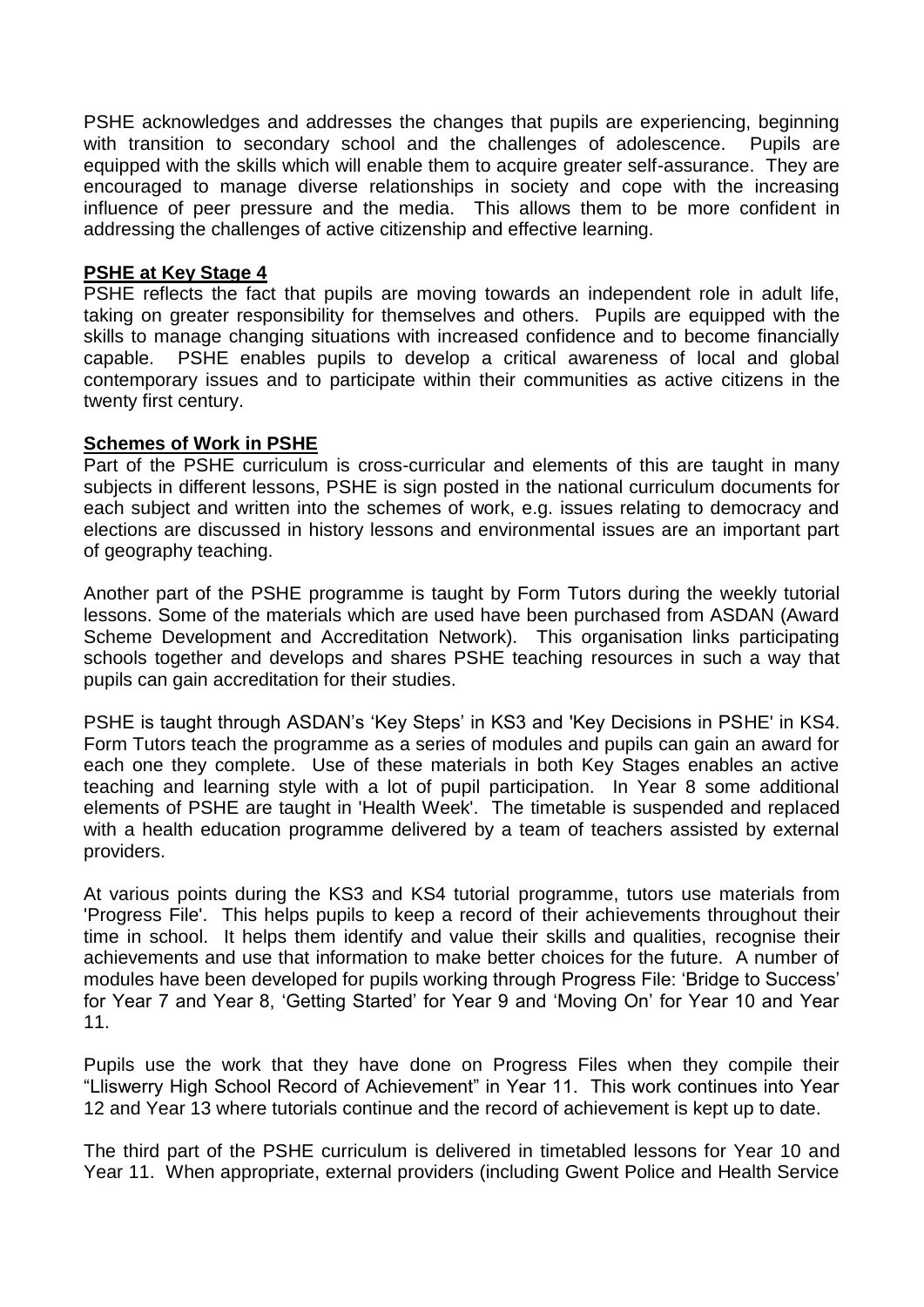PSHE acknowledges and addresses the changes that pupils are experiencing, beginning with transition to secondary school and the challenges of adolescence. Pupils are equipped with the skills which will enable them to acquire greater self-assurance. They are encouraged to manage diverse relationships in society and cope with the increasing influence of peer pressure and the media. This allows them to be more confident in addressing the challenges of active citizenship and effective learning.

#### **PSHE at Key Stage 4**

PSHE reflects the fact that pupils are moving towards an independent role in adult life, taking on greater responsibility for themselves and others. Pupils are equipped with the skills to manage changing situations with increased confidence and to become financially capable. PSHE enables pupils to develop a critical awareness of local and global contemporary issues and to participate within their communities as active citizens in the twenty first century.

#### **Schemes of Work in PSHE**

Part of the PSHE curriculum is cross-curricular and elements of this are taught in many subjects in different lessons, PSHE is sign posted in the national curriculum documents for each subject and written into the schemes of work, e.g. issues relating to democracy and elections are discussed in history lessons and environmental issues are an important part of geography teaching.

Another part of the PSHE programme is taught by Form Tutors during the weekly tutorial lessons. Some of the materials which are used have been purchased from ASDAN (Award Scheme Development and Accreditation Network). This organisation links participating schools together and develops and shares PSHE teaching resources in such a way that pupils can gain accreditation for their studies.

PSHE is taught through ASDAN's 'Key Steps' in KS3 and 'Key Decisions in PSHE' in KS4. Form Tutors teach the programme as a series of modules and pupils can gain an award for each one they complete. Use of these materials in both Key Stages enables an active teaching and learning style with a lot of pupil participation. In Year 8 some additional elements of PSHE are taught in 'Health Week'. The timetable is suspended and replaced with a health education programme delivered by a team of teachers assisted by external providers.

At various points during the KS3 and KS4 tutorial programme, tutors use materials from 'Progress File'. This helps pupils to keep a record of their achievements throughout their time in school. It helps them identify and value their skills and qualities, recognise their achievements and use that information to make better choices for the future. A number of modules have been developed for pupils working through Progress File: 'Bridge to Success' for Year 7 and Year 8, 'Getting Started' for Year 9 and 'Moving On' for Year 10 and Year 11.

Pupils use the work that they have done on Progress Files when they compile their "Lliswerry High School Record of Achievement" in Year 11. This work continues into Year 12 and Year 13 where tutorials continue and the record of achievement is kept up to date.

The third part of the PSHE curriculum is delivered in timetabled lessons for Year 10 and Year 11. When appropriate, external providers (including Gwent Police and Health Service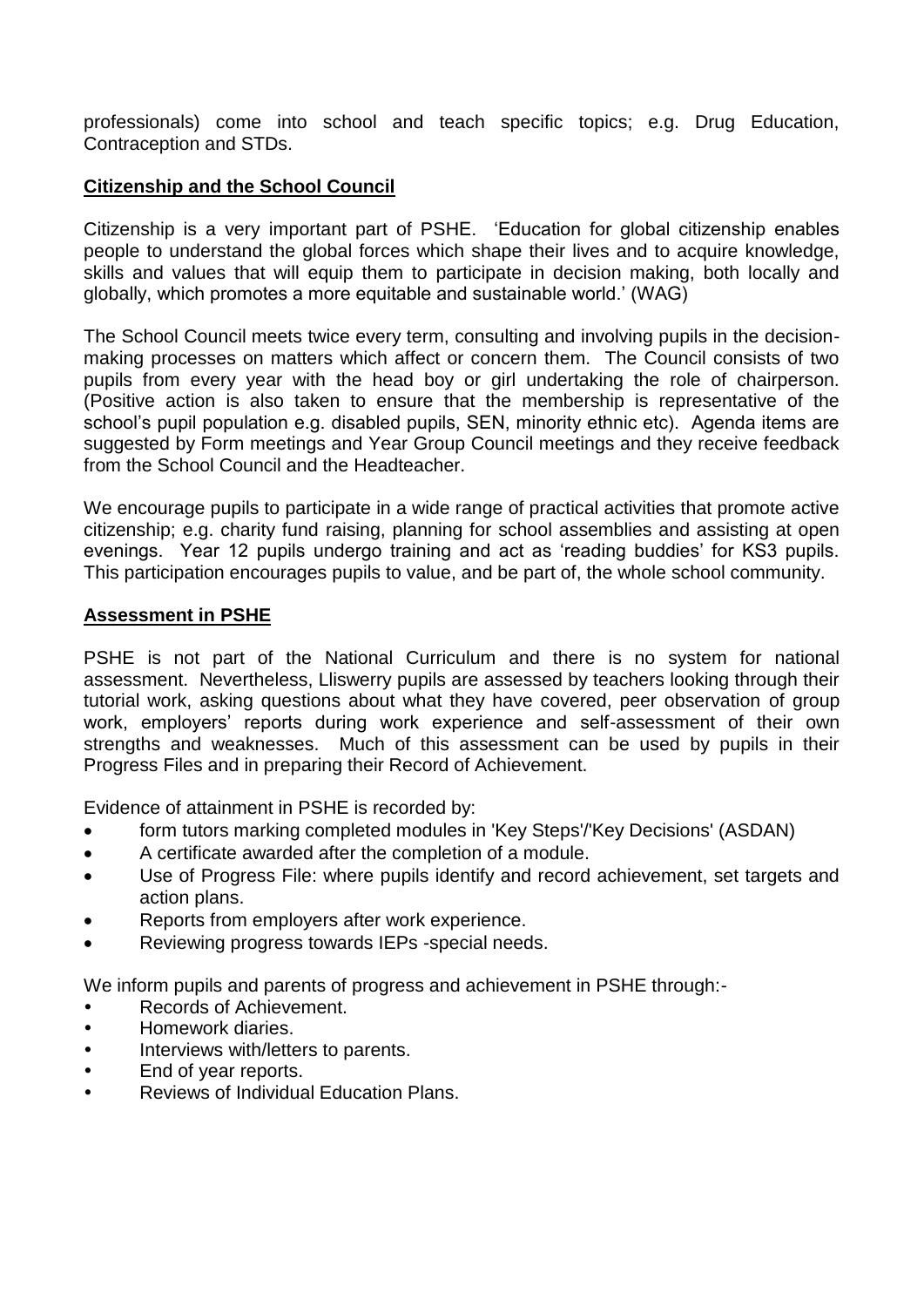professionals) come into school and teach specific topics; e.g. Drug Education, Contraception and STDs.

## **Citizenship and the School Council**

Citizenship is a very important part of PSHE. 'Education for global citizenship enables people to understand the global forces which shape their lives and to acquire knowledge, skills and values that will equip them to participate in decision making, both locally and globally, which promotes a more equitable and sustainable world.' (WAG)

The School Council meets twice every term, consulting and involving pupils in the decisionmaking processes on matters which affect or concern them. The Council consists of two pupils from every year with the head boy or girl undertaking the role of chairperson. (Positive action is also taken to ensure that the membership is representative of the school's pupil population e.g. disabled pupils, SEN, minority ethnic etc). Agenda items are suggested by Form meetings and Year Group Council meetings and they receive feedback from the School Council and the Headteacher.

We encourage pupils to participate in a wide range of practical activities that promote active citizenship; e.g. charity fund raising, planning for school assemblies and assisting at open evenings. Year 12 pupils undergo training and act as 'reading buddies' for KS3 pupils. This participation encourages pupils to value, and be part of, the whole school community.

#### **Assessment in PSHE**

PSHE is not part of the National Curriculum and there is no system for national assessment. Nevertheless, Lliswerry pupils are assessed by teachers looking through their tutorial work, asking questions about what they have covered, peer observation of group work, employers' reports during work experience and self-assessment of their own strengths and weaknesses. Much of this assessment can be used by pupils in their Progress Files and in preparing their Record of Achievement.

Evidence of attainment in PSHE is recorded by:

- form tutors marking completed modules in 'Key Steps'/'Key Decisions' (ASDAN)
- A certificate awarded after the completion of a module.
- Use of Progress File: where pupils identify and record achievement, set targets and action plans.
- Reports from employers after work experience.
- Reviewing progress towards IEPs -special needs.

We inform pupils and parents of progress and achievement in PSHE through:-

- Records of Achievement.
- Homework diaries.
- Interviews with/letters to parents.
- End of year reports.
- Reviews of Individual Education Plans.